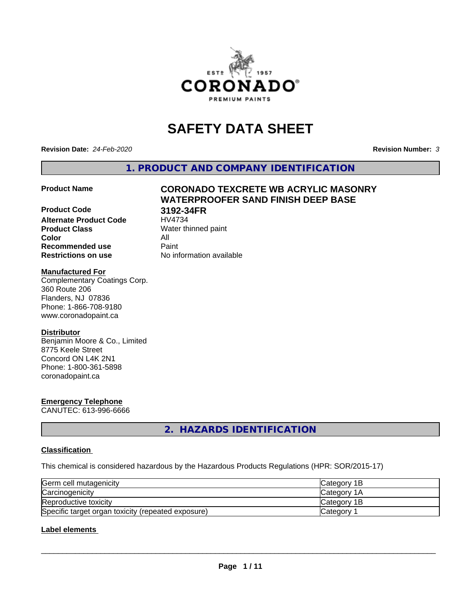

## **SAFETY DATA SHEET**

**Revision Date:** *24-Feb-2020* **Revision Number:** *3*

**1. PRODUCT AND COMPANY IDENTIFICATION**

# **Product Code 3192-34FR**

# **Product Name CORONADO TEXCRETE WB ACRYLIC MASONRY WATERPROOFER SAND FINISH DEEP BASE**

**Alternate Product Code Product Class** Water thinned paint<br> **Color** All **Color** All **Recommended use Caint Restrictions on use** No information available

#### **Manufactured For**

Complementary Coatings Corp. 360 Route 206 Flanders, NJ 07836 Phone: 1-866-708-9180 www.coronadopaint.ca

#### **Distributor**

Benjamin Moore & Co., Limited 8775 Keele Street Concord ON L4K 2N1 Phone: 1-800-361-5898 coronadopaint.ca

## **Emergency Telephone**

CANUTEC: 613-996-6666

**2. HAZARDS IDENTIFICATION**

#### **Classification**

This chemical is considered hazardous by the Hazardous Products Regulations (HPR: SOR/2015-17)

| Germ cell mutagenicity                             | <b>Category 1B</b> |
|----------------------------------------------------|--------------------|
| Carcinogenicity                                    | <b>Category 1A</b> |
| Reproductive toxicity                              | Category 1B        |
| Specific target organ toxicity (repeated exposure) | Category           |

#### **Label elements**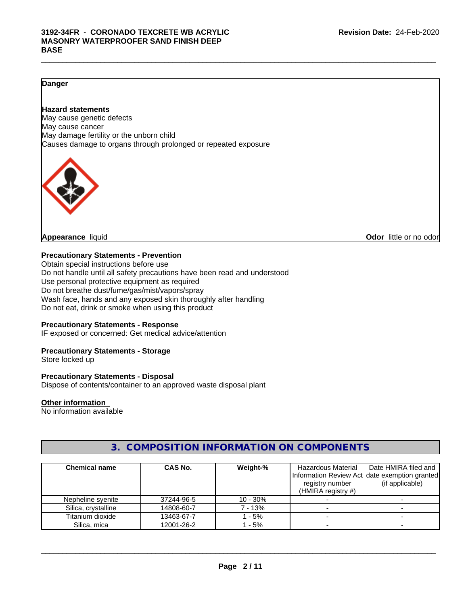#### **Danger**

#### **Hazard statements**

May cause genetic defects May cause cancer May damage fertility or the unborn child Causes damage to organs through prolonged or repeated exposure



**Appearance** liquid **Odor in the original of the original of the original of the original of the original of the original of the original of the original of the original of the original of the original of the original of t** 

#### **Precautionary Statements - Prevention**

Obtain special instructions before use Do not handle until all safety precautions have been read and understood Use personal protective equipment as required Do not breathe dust/fume/gas/mist/vapors/spray Wash face, hands and any exposed skin thoroughly after handling Do not eat, drink or smoke when using this product

#### **Precautionary Statements - Response**

IF exposed or concerned: Get medical advice/attention

#### **Precautionary Statements - Storage**

Store locked up

#### **Precautionary Statements - Disposal**

Dispose of contents/container to an approved waste disposal plant

#### **Other information**

No information available

#### **3. COMPOSITION INFORMATION ON COMPONENTS**

| <b>Chemical name</b> | CAS No.    | Weight-%   | Hazardous Material    | Date HMIRA filed and                           |
|----------------------|------------|------------|-----------------------|------------------------------------------------|
|                      |            |            |                       | Information Review Act Idate exemption granted |
|                      |            |            | registry number       | (if applicable)                                |
|                      |            |            | (HMIRA registry $#$ ) |                                                |
| Nepheline syenite    | 37244-96-5 | $10 - 30%$ |                       |                                                |
| Silica, crystalline  | 14808-60-7 | 7 - 13%    |                       |                                                |
| Titanium dioxide     | 13463-67-7 | 1 - 5%     |                       |                                                |
| Silica, mica         | 12001-26-2 | 1 - 5%     |                       |                                                |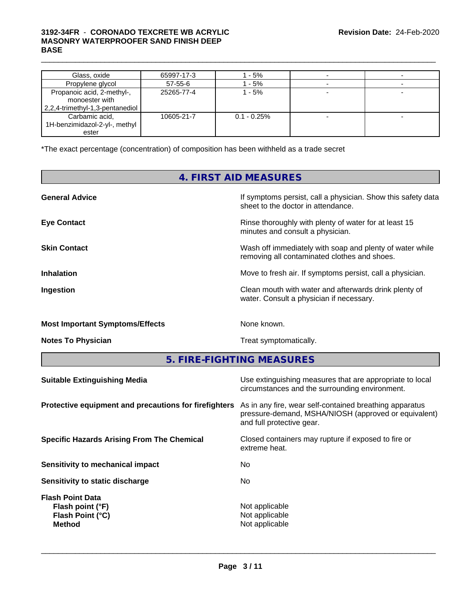#### $\_$  ,  $\_$  ,  $\_$  ,  $\_$  ,  $\_$  ,  $\_$  ,  $\_$  ,  $\_$  ,  $\_$  ,  $\_$  ,  $\_$  ,  $\_$  ,  $\_$  ,  $\_$  ,  $\_$  ,  $\_$  ,  $\_$  ,  $\_$  ,  $\_$  ,  $\_$  ,  $\_$  ,  $\_$  ,  $\_$  ,  $\_$  ,  $\_$  ,  $\_$  ,  $\_$  ,  $\_$  ,  $\_$  ,  $\_$  ,  $\_$  ,  $\_$  ,  $\_$  ,  $\_$  ,  $\_$  ,  $\_$  ,  $\_$  , **3192-34FR** - **CORONADO TEXCRETE WB ACRYLIC MASONRY WATERPROOFER SAND FINISH DEEP BASE**

| Glass, oxide                                                                    | 65997-17-3    | l - 5%         |  |
|---------------------------------------------------------------------------------|---------------|----------------|--|
| Propylene glycol                                                                | $57 - 55 - 6$ | - 5%           |  |
| Propanoic acid, 2-methyl-,<br>monoester with<br>2,2,4-trimethyl-1,3-pentanediol | 25265-77-4    | 1 - 5%         |  |
| Carbamic acid,<br>1H-benzimidazol-2-yl-, methyl<br>ester                        | 10605-21-7    | $0.1 - 0.25\%$ |  |

\*The exact percentage (concentration) of composition has been withheld as a trade secret

## **4. FIRST AID MEASURES**

| <b>General Advice</b>                  | If symptoms persist, call a physician. Show this safety data                                             |
|----------------------------------------|----------------------------------------------------------------------------------------------------------|
|                                        | sheet to the doctor in attendance.                                                                       |
| <b>Eye Contact</b>                     | Rinse thoroughly with plenty of water for at least 15<br>minutes and consult a physician.                |
| <b>Skin Contact</b>                    | Wash off immediately with soap and plenty of water while<br>removing all contaminated clothes and shoes. |
| <b>Inhalation</b>                      | Move to fresh air. If symptoms persist, call a physician.                                                |
| Ingestion                              | Clean mouth with water and afterwards drink plenty of<br>water. Consult a physician if necessary.        |
| <b>Most Important Symptoms/Effects</b> | None known.                                                                                              |
| <b>Notes To Physician</b>              | Treat symptomatically.                                                                                   |

**5. FIRE-FIGHTING MEASURES**

| <b>Suitable Extinguishing Media</b>                                              | Use extinguishing measures that are appropriate to local<br>circumstances and the surrounding environment.                                   |
|----------------------------------------------------------------------------------|----------------------------------------------------------------------------------------------------------------------------------------------|
| Protective equipment and precautions for firefighters                            | As in any fire, wear self-contained breathing apparatus<br>pressure-demand, MSHA/NIOSH (approved or equivalent)<br>and full protective gear. |
| <b>Specific Hazards Arising From The Chemical</b>                                | Closed containers may rupture if exposed to fire or<br>extreme heat.                                                                         |
| Sensitivity to mechanical impact                                                 | No.                                                                                                                                          |
| Sensitivity to static discharge                                                  | No.                                                                                                                                          |
| <b>Flash Point Data</b><br>Flash point (°F)<br>Flash Point (°C)<br><b>Method</b> | Not applicable<br>Not applicable<br>Not applicable                                                                                           |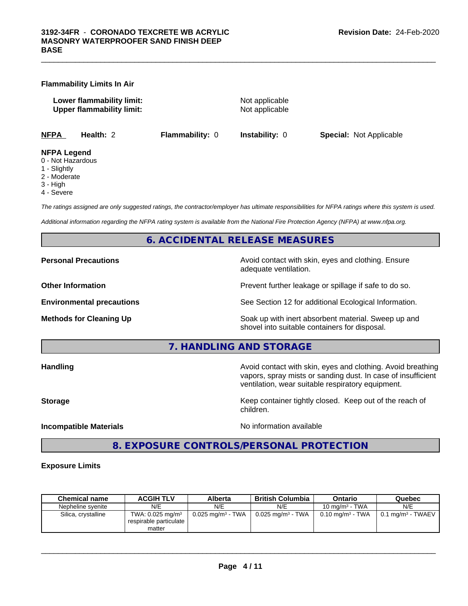**Flammability Limits In Air**

**Lower flammability limit:** Not applicable **Upper flammability limit:** Not applicable

 $\_$  ,  $\_$  ,  $\_$  ,  $\_$  ,  $\_$  ,  $\_$  ,  $\_$  ,  $\_$  ,  $\_$  ,  $\_$  ,  $\_$  ,  $\_$  ,  $\_$  ,  $\_$  ,  $\_$  ,  $\_$  ,  $\_$  ,  $\_$  ,  $\_$  ,  $\_$  ,  $\_$  ,  $\_$  ,  $\_$  ,  $\_$  ,  $\_$  ,  $\_$  ,  $\_$  ,  $\_$  ,  $\_$  ,  $\_$  ,  $\_$  ,  $\_$  ,  $\_$  ,  $\_$  ,  $\_$  ,  $\_$  ,  $\_$  ,

**NFPA Health:** 2 **Flammability:** 0 **Instability:** 0 **Special:** Not Applicable

#### **NFPA Legend**

- 0 Not Hazardous
- 1 Slightly
- 2 Moderate
- 3 High
- 4 Severe

*The ratings assigned are only suggested ratings, the contractor/employer has ultimate responsibilities for NFPA ratings where this system is used.*

*Additional information regarding the NFPA rating system is available from the National Fire Protection Agency (NFPA) at www.nfpa.org.*

#### **6. ACCIDENTAL RELEASE MEASURES**

**Personal Precautions Precautions** Avoid contact with skin, eyes and clothing. Ensure adequate ventilation.

**Other Information Discription Prevent further leakage or spillage if safe to do so.** 

**Environmental precautions** See Section 12 for additional Ecological Information.

**Methods for Cleaning Up Example 20 Soak** up with inert absorbent material. Sweep up and shovel into suitable containers for disposal.

**7. HANDLING AND STORAGE**

**Handling Handling Avoid contact with skin, eyes and clothing. Avoid breathing** vapors, spray mists or sanding dust. In case of insufficient ventilation, wear suitable respiratory equipment.

**Storage Keep container tightly closed. Keep out of the reach of Keep** container tightly closed. Keep out of the reach of children.

**Incompatible Materials Incompatible Materials No information available** 

 $\overline{\phantom{a}}$  ,  $\overline{\phantom{a}}$  ,  $\overline{\phantom{a}}$  ,  $\overline{\phantom{a}}$  ,  $\overline{\phantom{a}}$  ,  $\overline{\phantom{a}}$  ,  $\overline{\phantom{a}}$  ,  $\overline{\phantom{a}}$  ,  $\overline{\phantom{a}}$  ,  $\overline{\phantom{a}}$  ,  $\overline{\phantom{a}}$  ,  $\overline{\phantom{a}}$  ,  $\overline{\phantom{a}}$  ,  $\overline{\phantom{a}}$  ,  $\overline{\phantom{a}}$  ,  $\overline{\phantom{a}}$ 

#### **8. EXPOSURE CONTROLS/PERSONAL PROTECTION**

#### **Exposure Limits**

| <b>Chemical name</b> | <b>ACGIH TLV</b>                                                   | Alberta                         | <b>British Columbia</b>         | Ontario                        | Quebec                            |
|----------------------|--------------------------------------------------------------------|---------------------------------|---------------------------------|--------------------------------|-----------------------------------|
| Nepheline svenite    | N/E                                                                | N/E                             | N/E                             | 10 mg/m $3$ - TWA              | N/E                               |
| Silica, crystalline  | TWA: $0.025$ mg/m <sup>3</sup><br>respirable particulate<br>matter | $0.025$ mg/m <sup>3</sup> - TWA | $0.025$ mg/m <sup>3</sup> - TWA | $0.10$ mg/m <sup>3</sup> - TWA | $0.1$ mg/m <sup>3</sup> - TWAEV + |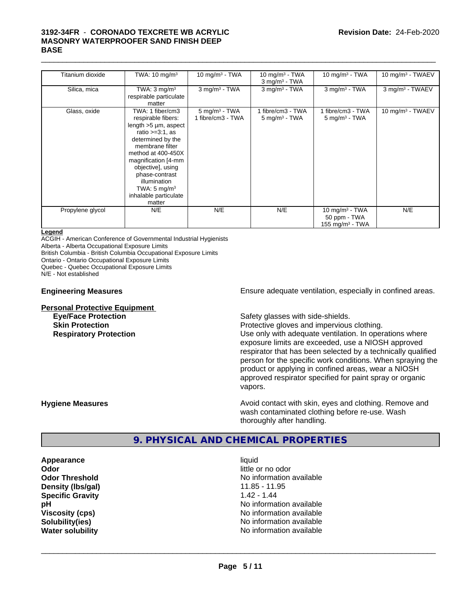#### $\_$  ,  $\_$  ,  $\_$  ,  $\_$  ,  $\_$  ,  $\_$  ,  $\_$  ,  $\_$  ,  $\_$  ,  $\_$  ,  $\_$  ,  $\_$  ,  $\_$  ,  $\_$  ,  $\_$  ,  $\_$  ,  $\_$  ,  $\_$  ,  $\_$  ,  $\_$  ,  $\_$  ,  $\_$  ,  $\_$  ,  $\_$  ,  $\_$  ,  $\_$  ,  $\_$  ,  $\_$  ,  $\_$  ,  $\_$  ,  $\_$  ,  $\_$  ,  $\_$  ,  $\_$  ,  $\_$  ,  $\_$  ,  $\_$  , **3192-34FR** - **CORONADO TEXCRETE WB ACRYLIC MASONRY WATERPROOFER SAND FINISH DEEP BASE**

| Titanium dioxide | TWA: $10 \text{ mg/m}^3$                                                                                                                                                                                                                                                                       | 10 mg/m $3$ - TWA                                | 10 mg/m $3$ - TWA<br>$3$ mg/m <sup>3</sup> - TWA | 10 mg/m $3$ - TWA                                       | 10 mg/m <sup>3</sup> - TWAEV |
|------------------|------------------------------------------------------------------------------------------------------------------------------------------------------------------------------------------------------------------------------------------------------------------------------------------------|--------------------------------------------------|--------------------------------------------------|---------------------------------------------------------|------------------------------|
| Silica, mica     | TWA: $3 \text{ mg/m}^3$<br>respirable particulate<br>matter                                                                                                                                                                                                                                    | $3$ mg/m $3$ - TWA                               | $3$ mg/m <sup>3</sup> - TWA                      | $3$ mg/m $3$ - TWA                                      | 3 mg/m <sup>3</sup> - TWAEV  |
| Glass, oxide     | TWA: 1 fiber/cm3<br>respirable fibers:<br>length >5 µm, aspect<br>ratio $>=3:1$ , as<br>determined by the<br>membrane filter<br>method at 400-450X<br>magnification [4-mm<br>objective], using<br>phase-contrast<br>illumination<br>TWA: $5 \text{ mg/m}^3$<br>inhalable particulate<br>matter | $5$ mg/m <sup>3</sup> - TWA<br>1 fibre/cm3 - TWA | 1 fibre/cm3 - TWA<br>$5 \text{ mg/m}$ - TWA      | 1 fibre/cm3 - TWA<br>$5 \text{ mg/m}^3$ - TWA           | 10 mg/m <sup>3</sup> - TWAEV |
| Propylene glycol | N/E                                                                                                                                                                                                                                                                                            | N/E                                              | N/E                                              | 10 mg/m $3$ - TWA<br>50 ppm - TWA<br>155 mg/m $3$ - TWA | N/E                          |

#### **Legend**

ACGIH - American Conference of Governmental Industrial Hygienists

Alberta - Alberta Occupational Exposure Limits

British Columbia - British Columbia Occupational Exposure Limits

Ontario - Ontario Occupational Exposure Limits

Quebec - Quebec Occupational Exposure Limits

N/E - Not established

# **Personal Protective Equipment**<br> **Eye/Face Protection**

**Engineering Measures Ensure** Ensure adequate ventilation, especially in confined areas.

Safety glasses with side-shields.

**Skin Protection Protection** Protective gloves and impervious clothing. **Respiratory Protection Network 1** Use only with adequate ventilation. In operations where exposure limits are exceeded, use a NIOSH approved respirator that has been selected by a technically qualified person for the specific work conditions. When spraying the product or applying in confined areas, wear a NIOSH approved respirator specified for paint spray or organic vapors.

**Hygiene Measures Avoid contact with skin, eyes and clothing. Remove and Hygiene Measures** and clothing. Remove and wash contaminated clothing before re-use. Wash thoroughly after handling.

#### **9. PHYSICAL AND CHEMICAL PROPERTIES**

**Appearance** liquid **Odor** little or no odor **Density (lbs/gal)** 11.85 - 11.95 **Specific Gravity** 1.42 - 1.44

**Odor Threshold No information available No information available pH pH**  $\blacksquare$ **Viscosity (cps)** <br> **Viscosity (cps)** No information available<br>
No information available<br>
No information available **Solubility(ies)** No information available **Water solubility Water solubility Water solubility Water solubility Water solubility Water solution**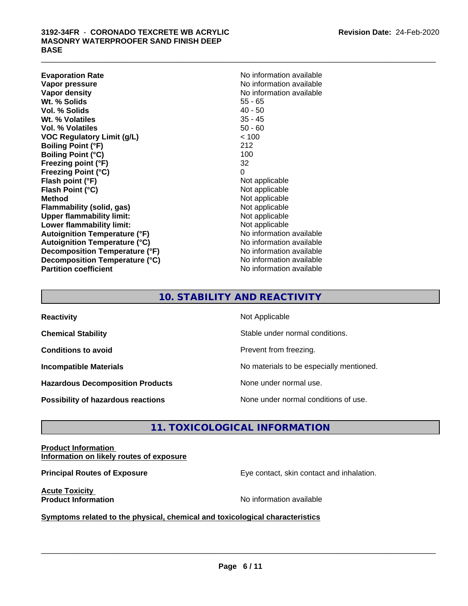**Evaporation Rate No information available No information available Vapor pressure** No information available **Vapor density**<br> **We Solids**<br>
We Solids
2010<br>
We Note that the Solid S5 - 65 **Wt. % Solids** 55 - 65<br> **Vol. % Solids** 40 - 50 **Vol. % Solids Wt. % Volatiles** 35 - 45 **Vol. % Volatiles** 50 - 60 **VOC Regulatory Limit (g/L)** < 100 **Boiling Point (°F)** 212 **Boiling Point (°C)** 100 **Freezing point (°F)** 32 **Freezing Point (°C)** 0<br> **Flash point (°F)** 0<br>
Not applicable **Flash point (°F)** Not applicable **Flash Point (°C) Method**<br> **Flammability (solid, gas)**<br> **Example 2018** Not applicable **Flammability** (solid, gas) **Upper flammability limit:** Not applicable **Lower flammability limit:**<br> **Autoignition Temperature (°F)** Not applicable Not applicable **Autoignition Temperature (°F) Autoignition Temperature (°C)** No information available **Decomposition Temperature (°F)** No information available **Decomposition Temperature (°C)** No information available **Partition coefficient** No information available

### **10. STABILITY AND REACTIVITY**

| <b>Reactivity</b>                         | Not Applicable                           |
|-------------------------------------------|------------------------------------------|
| <b>Chemical Stability</b>                 | Stable under normal conditions.          |
| <b>Conditions to avoid</b>                | Prevent from freezing.                   |
| <b>Incompatible Materials</b>             | No materials to be especially mentioned. |
| <b>Hazardous Decomposition Products</b>   | None under normal use.                   |
| <b>Possibility of hazardous reactions</b> | None under normal conditions of use.     |

#### **11. TOXICOLOGICAL INFORMATION**

**Product Information Information on likely routes of exposure**

**Principal Routes of Exposure** Eye contact, skin contact and inhalation.

**Acute Toxicity** 

**Product Information** and **Product Information No information available** 

 $\overline{\phantom{a}}$  ,  $\overline{\phantom{a}}$  ,  $\overline{\phantom{a}}$  ,  $\overline{\phantom{a}}$  ,  $\overline{\phantom{a}}$  ,  $\overline{\phantom{a}}$  ,  $\overline{\phantom{a}}$  ,  $\overline{\phantom{a}}$  ,  $\overline{\phantom{a}}$  ,  $\overline{\phantom{a}}$  ,  $\overline{\phantom{a}}$  ,  $\overline{\phantom{a}}$  ,  $\overline{\phantom{a}}$  ,  $\overline{\phantom{a}}$  ,  $\overline{\phantom{a}}$  ,  $\overline{\phantom{a}}$ 

**<u>Symptoms related to the physical, chemical and toxicological characteristics</u>**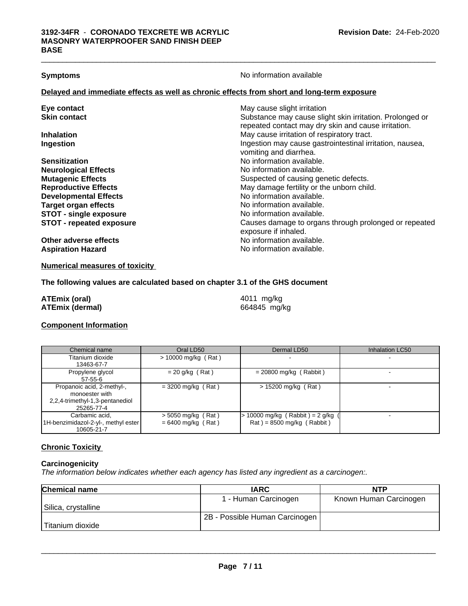**Symptoms** No information available

 $\_$  ,  $\_$  ,  $\_$  ,  $\_$  ,  $\_$  ,  $\_$  ,  $\_$  ,  $\_$  ,  $\_$  ,  $\_$  ,  $\_$  ,  $\_$  ,  $\_$  ,  $\_$  ,  $\_$  ,  $\_$  ,  $\_$  ,  $\_$  ,  $\_$  ,  $\_$  ,  $\_$  ,  $\_$  ,  $\_$  ,  $\_$  ,  $\_$  ,  $\_$  ,  $\_$  ,  $\_$  ,  $\_$  ,  $\_$  ,  $\_$  ,  $\_$  ,  $\_$  ,  $\_$  ,  $\_$  ,  $\_$  ,  $\_$  ,

#### **Delayed and immediate effects as well as chronic effects from short and long-term exposure**

| Eye contact                     | May cause slight irritation                                                        |
|---------------------------------|------------------------------------------------------------------------------------|
| <b>Skin contact</b>             | Substance may cause slight skin irritation. Prolonged or                           |
|                                 | repeated contact may dry skin and cause irritation.                                |
| <b>Inhalation</b>               | May cause irritation of respiratory tract.                                         |
| Ingestion                       | Ingestion may cause gastrointestinal irritation, nausea,<br>vomiting and diarrhea. |
| <b>Sensitization</b>            | No information available.                                                          |
| <b>Neurological Effects</b>     | No information available.                                                          |
| <b>Mutagenic Effects</b>        | Suspected of causing genetic defects.                                              |
| <b>Reproductive Effects</b>     | May damage fertility or the unborn child.                                          |
| <b>Developmental Effects</b>    | No information available.                                                          |
| <b>Target organ effects</b>     | No information available.                                                          |
| <b>STOT - single exposure</b>   | No information available.                                                          |
| <b>STOT - repeated exposure</b> | Causes damage to organs through prolonged or repeated<br>exposure if inhaled.      |
| Other adverse effects           | No information available.                                                          |
| <b>Aspiration Hazard</b>        | No information available.                                                          |
|                                 |                                                                                    |

#### **Numerical measures of toxicity**

#### **The following values are calculated based on chapter 3.1 of the GHS document**

| ATEmix (oral)          | 4011 mg/kg   |
|------------------------|--------------|
| <b>ATEmix (dermal)</b> | 664845 mg/kg |

#### **Component Information**

| Chemical name                                                                                 | Oral LD50                                    | Dermal LD50                                                      | Inhalation LC50 |
|-----------------------------------------------------------------------------------------------|----------------------------------------------|------------------------------------------------------------------|-----------------|
| Titanium dioxide<br>13463-67-7                                                                | $> 10000$ mg/kg (Rat)                        |                                                                  |                 |
| Propylene glycol<br>$57 - 55 - 6$                                                             | $= 20$ g/kg (Rat)                            | $= 20800$ mg/kg (Rabbit)                                         |                 |
| Propanoic acid, 2-methyl-,<br>monoester with<br>2,2,4-trimethyl-1,3-pentanediol<br>25265-77-4 | $=$ 3200 mg/kg (Rat)                         | $> 15200$ mg/kg (Rat)                                            |                 |
| Carbamic acid.<br>1H-benzimidazol-2-yl-, methyl ester<br>10605-21-7                           | $>$ 5050 mg/kg (Rat)<br>$= 6400$ mg/kg (Rat) | 10000 mg/kg (Rabbit) = $2$ g/kg (<br>$Rat$ = 8500 mg/kg (Rabbit) |                 |

#### **Chronic Toxicity**

#### **Carcinogenicity**

*The information below indicateswhether each agency has listed any ingredient as a carcinogen:.*

| <b>Chemical name</b> | <b>IARC</b>                    | NTP                    |
|----------------------|--------------------------------|------------------------|
|                      | 1 - Human Carcinogen           | Known Human Carcinogen |
| Silica, crystalline  |                                |                        |
|                      | 2B - Possible Human Carcinogen |                        |
| Titanium dioxide     |                                |                        |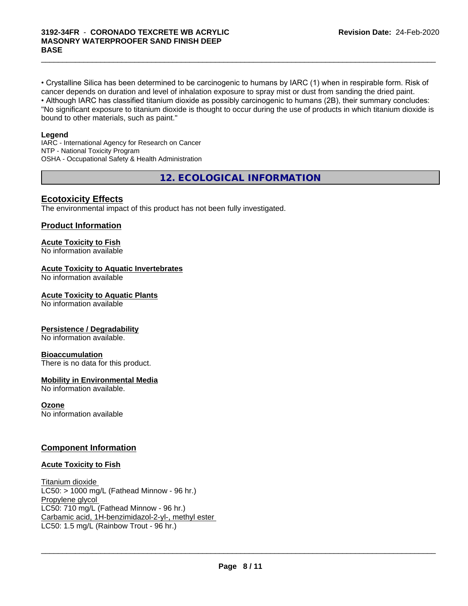• Crystalline Silica has been determined to be carcinogenic to humans by IARC (1) when in respirable form. Risk of cancer depends on duration and level of inhalation exposure to spray mist or dust from sanding the dried paint.• Although IARC has classified titanium dioxide as possibly carcinogenic to humans (2B), their summary concludes: "No significant exposure to titanium dioxide is thought to occur during the use of products in which titanium dioxide is bound to other materials, such as paint."

 $\_$  ,  $\_$  ,  $\_$  ,  $\_$  ,  $\_$  ,  $\_$  ,  $\_$  ,  $\_$  ,  $\_$  ,  $\_$  ,  $\_$  ,  $\_$  ,  $\_$  ,  $\_$  ,  $\_$  ,  $\_$  ,  $\_$  ,  $\_$  ,  $\_$  ,  $\_$  ,  $\_$  ,  $\_$  ,  $\_$  ,  $\_$  ,  $\_$  ,  $\_$  ,  $\_$  ,  $\_$  ,  $\_$  ,  $\_$  ,  $\_$  ,  $\_$  ,  $\_$  ,  $\_$  ,  $\_$  ,  $\_$  ,  $\_$  ,

#### **Legend**

IARC - International Agency for Research on Cancer NTP - National Toxicity Program OSHA - Occupational Safety & Health Administration

**12. ECOLOGICAL INFORMATION**

#### **Ecotoxicity Effects**

The environmental impact of this product has not been fully investigated.

#### **Product Information**

#### **Acute Toxicity to Fish**

No information available

#### **Acute Toxicity to Aquatic Invertebrates**

No information available

#### **Acute Toxicity to Aquatic Plants**

No information available

#### **Persistence / Degradability**

No information available.

#### **Bioaccumulation**

There is no data for this product.

#### **Mobility in Environmental Media**

No information available.

#### **Ozone**

No information available

#### **Component Information**

#### **Acute Toxicity to Fish**

Titanium dioxide  $LC50:$  > 1000 mg/L (Fathead Minnow - 96 hr.) Propylene glycol LC50: 710 mg/L (Fathead Minnow - 96 hr.) Carbamic acid, 1H-benzimidazol-2-yl-, methyl ester LC50: 1.5 mg/L (Rainbow Trout - 96 hr.)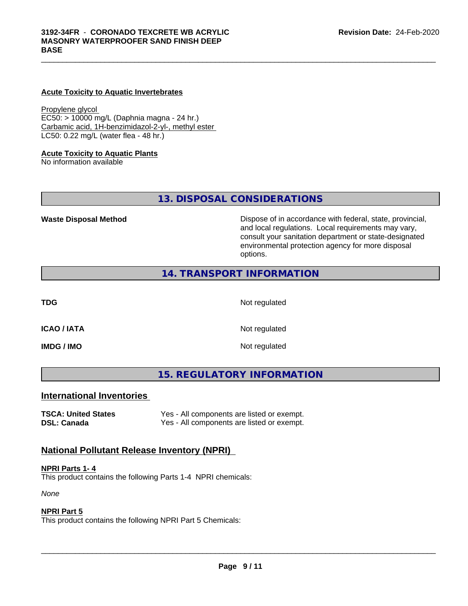#### **Acute Toxicity to Aquatic Invertebrates**

Propylene glycol EC50: > 10000 mg/L (Daphnia magna - 24 hr.) Carbamic acid, 1H-benzimidazol-2-yl-, methyl ester LC50: 0.22 mg/L (water flea - 48 hr.)

#### **Acute Toxicity to Aquatic Plants**

No information available

**13. DISPOSAL CONSIDERATIONS**

**Waste Disposal Method Dispose of in accordance with federal, state, provincial,** and local regulations. Local requirements may vary, consult your sanitation department or state-designated environmental protection agency for more disposal options.

#### **14. TRANSPORT INFORMATION**

**TDG** Not regulated

 $\_$  ,  $\_$  ,  $\_$  ,  $\_$  ,  $\_$  ,  $\_$  ,  $\_$  ,  $\_$  ,  $\_$  ,  $\_$  ,  $\_$  ,  $\_$  ,  $\_$  ,  $\_$  ,  $\_$  ,  $\_$  ,  $\_$  ,  $\_$  ,  $\_$  ,  $\_$  ,  $\_$  ,  $\_$  ,  $\_$  ,  $\_$  ,  $\_$  ,  $\_$  ,  $\_$  ,  $\_$  ,  $\_$  ,  $\_$  ,  $\_$  ,  $\_$  ,  $\_$  ,  $\_$  ,  $\_$  ,  $\_$  ,  $\_$  ,

**ICAO / IATA** Not regulated

**IMDG / IMO** Not regulated

**15. REGULATORY INFORMATION**

#### **International Inventories**

**TSCA: United States** Yes - All components are listed or exempt. **DSL: Canada** Yes - All components are listed or exempt.

#### **National Pollutant Release Inventory (NPRI)**

#### **NPRI Parts 1- 4**

This product contains the following Parts 1-4 NPRI chemicals:

*None*

#### **NPRI Part 5**

This product contains the following NPRI Part 5 Chemicals: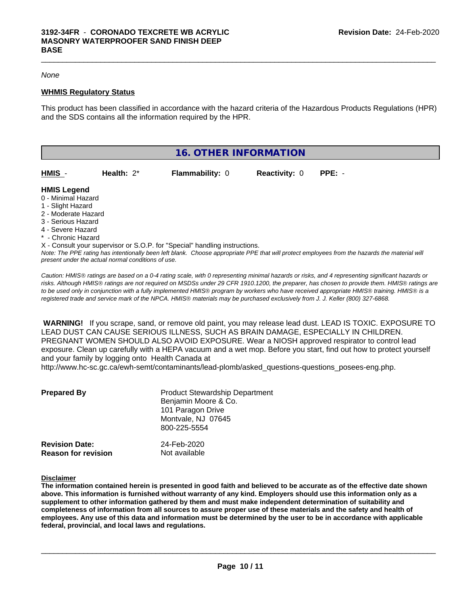#### *None*

#### **WHMIS Regulatory Status**

This product has been classified in accordance with the hazard criteria of the Hazardous Products Regulations (HPR) and the SDS contains all the information required by the HPR.

 $\_$  ,  $\_$  ,  $\_$  ,  $\_$  ,  $\_$  ,  $\_$  ,  $\_$  ,  $\_$  ,  $\_$  ,  $\_$  ,  $\_$  ,  $\_$  ,  $\_$  ,  $\_$  ,  $\_$  ,  $\_$  ,  $\_$  ,  $\_$  ,  $\_$  ,  $\_$  ,  $\_$  ,  $\_$  ,  $\_$  ,  $\_$  ,  $\_$  ,  $\_$  ,  $\_$  ,  $\_$  ,  $\_$  ,  $\_$  ,  $\_$  ,  $\_$  ,  $\_$  ,  $\_$  ,  $\_$  ,  $\_$  ,  $\_$  ,

| 16. OTHER INFORMATION                                                                                                           |               |                                                                            |                      |          |  |  |  |
|---------------------------------------------------------------------------------------------------------------------------------|---------------|----------------------------------------------------------------------------|----------------------|----------|--|--|--|
| HMIS -                                                                                                                          | Health: $2^*$ | <b>Flammability: 0</b>                                                     | <b>Reactivity: 0</b> | $PPE: -$ |  |  |  |
| <b>HMIS Legend</b><br>0 - Minimal Hazard<br>1 - Slight Hazard<br>2 - Moderate Hazard<br>3 - Serious Hazard<br>4 - Severe Hazard |               |                                                                            |                      |          |  |  |  |
| * - Chronic Hazard                                                                                                              |               | X - Consult your supervisor or S.O.P. for "Special" handling instructions. |                      |          |  |  |  |

*Note: The PPE rating has intentionally been left blank. Choose appropriate PPE that will protect employees from the hazards the material will present under the actual normal conditions of use.*

*Caution: HMISÒ ratings are based on a 0-4 rating scale, with 0 representing minimal hazards or risks, and 4 representing significant hazards or risks. Although HMISÒ ratings are not required on MSDSs under 29 CFR 1910.1200, the preparer, has chosen to provide them. HMISÒ ratings are to be used only in conjunction with a fully implemented HMISÒ program by workers who have received appropriate HMISÒ training. HMISÒ is a registered trade and service mark of the NPCA. HMISÒ materials may be purchased exclusively from J. J. Keller (800) 327-6868.*

 **WARNING!** If you scrape, sand, or remove old paint, you may release lead dust. LEAD IS TOXIC. EXPOSURE TO LEAD DUST CAN CAUSE SERIOUS ILLNESS, SUCH AS BRAIN DAMAGE, ESPECIALLY IN CHILDREN. PREGNANT WOMEN SHOULD ALSO AVOID EXPOSURE.Wear a NIOSH approved respirator to control lead exposure. Clean up carefully with a HEPA vacuum and a wet mop. Before you start, find out how to protect yourself and your family by logging onto Health Canada at http://www.hc-sc.gc.ca/ewh-semt/contaminants/lead-plomb/asked\_questions-questions\_posees-eng.php.

| <b>Prepared By</b>                                  | <b>Product Stewardship Department</b><br>Benjamin Moore & Co.<br>101 Paragon Drive<br>Montvale, NJ 07645<br>800-225-5554 |  |
|-----------------------------------------------------|--------------------------------------------------------------------------------------------------------------------------|--|
| <b>Revision Date:</b><br><b>Reason for revision</b> | 24-Feb-2020<br>Not available                                                                                             |  |

**Disclaimer**

The information contained herein is presented in good faith and believed to be accurate as of the effective date shown above. This information is furnished without warranty of any kind. Employers should use this information only as a **supplement to other information gathered by them and must make independent determination of suitability and** completeness of information from all sources to assure proper use of these materials and the safety and health of employees. Any use of this data and information must be determined by the user to be in accordance with applicable **federal, provincial, and local laws and regulations.**